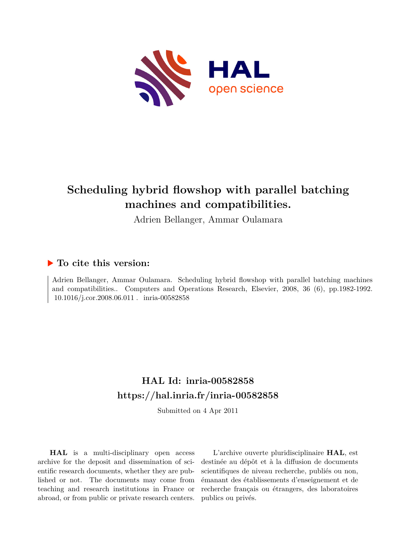

# **Scheduling hybrid flowshop with parallel batching machines and compatibilities.**

Adrien Bellanger, Ammar Oulamara

## **To cite this version:**

Adrien Bellanger, Ammar Oulamara. Scheduling hybrid flowshop with parallel batching machines and compatibilities.. Computers and Operations Research, Elsevier, 2008, 36 (6), pp.1982-1992.  $10.1016/j.cor.2008.06.011$  . inria-00582858

# **HAL Id: inria-00582858 <https://hal.inria.fr/inria-00582858>**

Submitted on 4 Apr 2011

**HAL** is a multi-disciplinary open access archive for the deposit and dissemination of scientific research documents, whether they are published or not. The documents may come from teaching and research institutions in France or abroad, or from public or private research centers.

L'archive ouverte pluridisciplinaire **HAL**, est destinée au dépôt et à la diffusion de documents scientifiques de niveau recherche, publiés ou non, émanant des établissements d'enseignement et de recherche français ou étrangers, des laboratoires publics ou privés.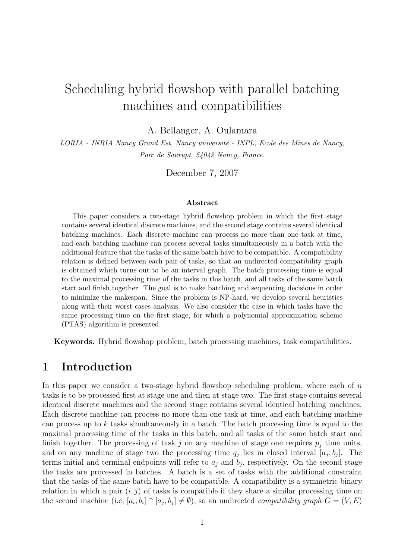# Scheduling hybrid flowshop with parallel batching machines and compatibilities

A. Bellanger, A. Oulamara

LORIA - INRIA Nancy Grand Est, Nancy université - INPL, Ecole des Mines de Nancy, Parc de Saurupt, 54042 Nancy, France.

December 7, 2007

#### Abstract

This paper considers a two-stage hybrid flowshop problem in which the first stage contains several identical discrete machines, and the second stage contains several identical batching machines. Each discrete machine can process no more than one task at time, and each batching machine can process several tasks simultaneously in a batch with the additional feature that the tasks of the same batch have to be compatible. A compatibility relation is defined between each pair of tasks, so that an undirected compatibility graph is obtained which turns out to be an interval graph. The batch processing time is equal to the maximal processing time of the tasks in this batch, and all tasks of the same batch start and finish together. The goal is to make batching and sequencing decisions in order to minimize the makespan. Since the problem is NP-hard, we develop several heuristics along with their worst cases analysis. We also consider the case in which tasks have the same processing time on the first stage, for which a polynomial approximation scheme (PTAS) algorithm is presented.

Keywords. Hybrid flowshop problem, batch processing machines, task compatibilities.

### 1 Introduction

In this paper we consider a two-stage hybrid flowshop scheduling problem, where each of  $n$ tasks is to be processed first at stage one and then at stage two. The first stage contains several identical discrete machines and the second stage contains several identical batching machines. Each discrete machine can process no more than one task at time, and each batching machine can process up to  $k$  tasks simultaneously in a batch. The batch processing time is equal to the maximal processing time of the tasks in this batch, and all tasks of the same batch start and finish together. The processing of task j on any machine of stage one requires  $p_i$  time units, and on any machine of stage two the processing time  $q_j$  lies in closed interval  $[a_j, b_j]$ . The terms initial and terminal endpoints will refer to  $a_j$  and  $b_j$ , respectively. On the second stage the tasks are processed in batches. A batch is a set of tasks with the additional constraint that the tasks of the same batch have to be compatible. A compatibility is a symmetric binary relation in which a pair  $(i, j)$  of tasks is compatible if they share a similar processing time on the second machine (i.e,  $[a_i, b_i] \cap [a_j, b_j] \neq \emptyset$ ), so an undirected *compatibility graph*  $G = (V, E)$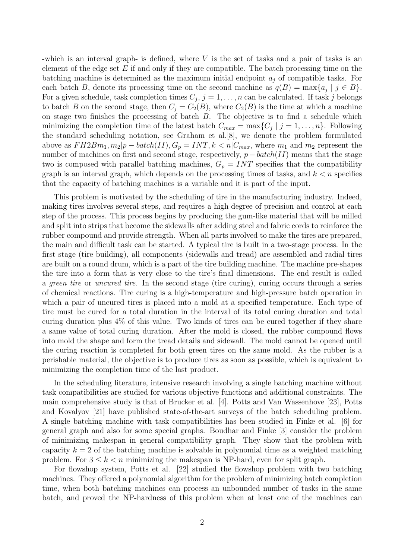-which is an interval graph- is defined, where  $V$  is the set of tasks and a pair of tasks is an element of the edge set  $E$  if and only if they are compatible. The batch processing time on the batching machine is determined as the maximum initial endpoint  $a_i$  of compatible tasks. For each batch B, denote its processing time on the second machine as  $q(B) = \max\{a_j \mid j \in B\}.$ For a given schedule, task completion times  $C_j$ ,  $j = 1, \ldots, n$  can be calculated. If task j belongs to batch B on the second stage, then  $C_j = C_2(B)$ , where  $C_2(B)$  is the time at which a machine on stage two finishes the processing of batch  $B$ . The objective is to find a schedule which minimizing the completion time of the latest batch  $C_{max} = \max\{C_j \mid j = 1, \ldots, n\}$ . Following the standard scheduling notation, see Graham et al.[8], we denote the problem formulated above as  $FH2Bm_1, m_2|p - batch(II), G_p = INT, k < n|C_{max}$ , where  $m_1$  and  $m_2$  represent the number of machines on first and second stage, respectively,  $p - batch(II)$  means that the stage two is composed with parallel batching machines,  $G_p = INT$  specifies that the compatibility graph is an interval graph, which depends on the processing times of tasks, and  $k < n$  specifies that the capacity of batching machines is a variable and it is part of the input.

This problem is motivated by the scheduling of tire in the manufacturing industry. Indeed, making tires involves several steps, and requires a high degree of precision and control at each step of the process. This process begins by producing the gum-like material that will be milled and split into strips that become the sidewalls after adding steel and fabric cords to reinforce the rubber compound and provide strength. When all parts involved to make the tires are prepared, the main and difficult task can be started. A typical tire is built in a two-stage process. In the first stage (tire building), all components (sidewalls and tread) are assembled and radial tires are built on a round drum, which is a part of the tire building machine. The machine pre-shapes the tire into a form that is very close to the tire's final dimensions. The end result is called a *green tire* or *uncured tire*. In the second stage (tire curing), curing occurs through a series of chemical reactions. Tire curing is a high-temperature and high-pressure batch operation in which a pair of uncured tires is placed into a mold at a specified temperature. Each type of tire must be cured for a total duration in the interval of its total curing duration and total curing duration plus 4% of this value. Two kinds of tires can be cured together if they share a same value of total curing duration. After the mold is closed, the rubber compound flows into mold the shape and form the tread details and sidewall. The mold cannot be opened until the curing reaction is completed for both green tires on the same mold. As the rubber is a perishable material, the objective is to produce tires as soon as possible, which is equivalent to minimizing the completion time of the last product.

In the scheduling literature, intensive research involving a single batching machine without task compatibilities are studied for various objective functions and additional constraints. The main comprehensive study is that of Brucker et al. [4]. Potts and Van Wassenhove [23], Potts and Kovalyov [21] have published state-of-the-art surveys of the batch scheduling problem. A single batching machine with task compatibilities has been studied in Finke et al. [6] for general graph and also for some special graphs. Boudhar and Finke [3] consider the problem of minimizing makespan in general compatibility graph. They show that the problem with capacity  $k = 2$  of the batching machine is solvable in polynomial time as a weighted matching problem. For  $3 \leq k < n$  minimizing the makespan is NP-hard, even for split graph.

For flowshop system, Potts et al. [22] studied the flowshop problem with two batching machines. They offered a polynomial algorithm for the problem of minimizing batch completion time, when both batching machines can process an unbounded number of tasks in the same batch, and proved the NP-hardness of this problem when at least one of the machines can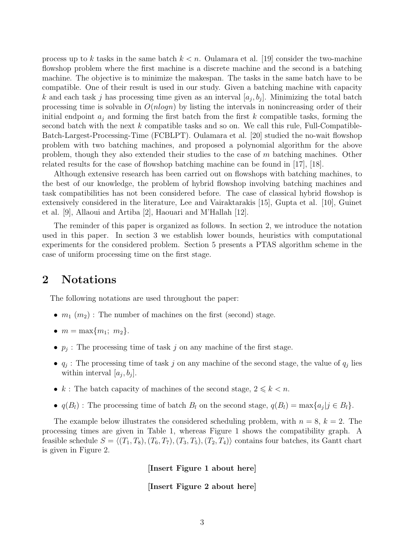process up to k tasks in the same batch  $k < n$ . Oulamara et al. [19] consider the two-machine flowshop problem where the first machine is a discrete machine and the second is a batching machine. The objective is to minimize the makespan. The tasks in the same batch have to be compatible. One of their result is used in our study. Given a batching machine with capacity k and each task j has processing time given as an interval  $[a_j, b_j]$ . Minimizing the total batch processing time is solvable in  $O(nlogn)$  by listing the intervals in nonincreasing order of their initial endpoint  $a_i$  and forming the first batch from the first k compatible tasks, forming the second batch with the next  $k$  compatible tasks and so on. We call this rule, Full-Compatible-Batch-Largest-Processing-Time (FCBLPT). Oulamara et al. [20] studied the no-wait flowshop problem with two batching machines, and proposed a polynomial algorithm for the above problem, though they also extended their studies to the case of  $m$  batching machines. Other related results for the case of flowshop batching machine can be found in [17], [18].

Although extensive research has been carried out on flowshops with batching machines, to the best of our knowledge, the problem of hybrid flowshop involving batching machines and task compatibilities has not been considered before. The case of classical hybrid flowshop is extensively considered in the literature, Lee and Vairaktarakis [15], Gupta et al. [10], Guinet et al. [9], Allaoui and Artiba [2], Haouari and M'Hallah [12].

The reminder of this paper is organized as follows. In section 2, we introduce the notation used in this paper. In section 3 we establish lower bounds, heuristics with computational experiments for the considered problem. Section 5 presents a PTAS algorithm scheme in the case of uniform processing time on the first stage.

### 2 Notations

The following notations are used throughout the paper:

- $m_1$  ( $m_2$ ) : The number of machines on the first (second) stage.
- $m = \max\{m_1; m_2\}.$
- $p_j$ : The processing time of task j on any machine of the first stage.
- $q_j$ : The processing time of task j on any machine of the second stage, the value of  $q_j$  lies within interval  $[a_j, b_j]$ .
- k : The batch capacity of machines of the second stage,  $2 \leq k \leq n$ .
- $q(B_l)$ : The processing time of batch  $B_l$  on the second stage,  $q(B_l) = \max\{a_j | j \in B_l\}$ .

The example below illustrates the considered scheduling problem, with  $n = 8$ ,  $k = 2$ . The processing times are given in Table 1, whereas Figure 1 shows the compatibility graph. A feasible schedule  $S = \langle (T_1, T_8), (T_6, T_7), (T_3, T_5), (T_2, T_4) \rangle$  contains four batches, its Gantt chart is given in Figure 2.

[Insert Figure 1 about here]

[Insert Figure 2 about here]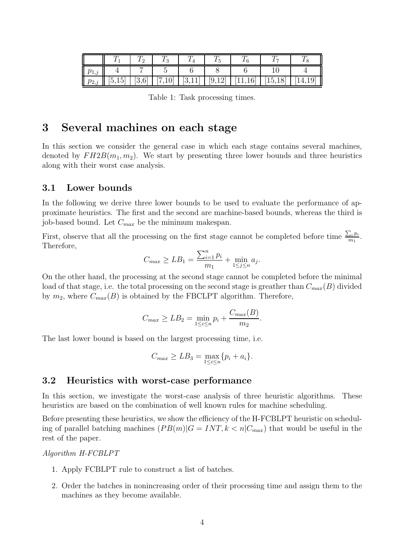| .     |                |                  |                  |       |          |  |
|-------|----------------|------------------|------------------|-------|----------|--|
| . د ت | $\mathbb{C}^+$ | 1.1 <sub>0</sub> | Q<br>' ∪ + ⊥ ∠ i | 11,16 | TO.<br>◡ |  |

Table 1: Task processing times.

# 3 Several machines on each stage

In this section we consider the general case in which each stage contains several machines, denoted by  $FH2B(m_1, m_2)$ . We start by presenting three lower bounds and three heuristics along with their worst case analysis.

#### 3.1 Lower bounds

In the following we derive three lower bounds to be used to evaluate the performance of approximate heuristics. The first and the second are machine-based bounds, whereas the third is job-based bound. Let  $C_{max}$  be the minimum makespan.

First, observe that all the processing on the first stage cannot be completed before time  $\frac{\sum_i p_i}{m_i}$  $\frac{1}{m_1}^{i\, p_i}$ . Therefore,

$$
C_{max} \geq LB_1 = \frac{\sum_{i=1}^{n} p_i}{m_1} + \min_{1 \leq j \leq n} a_j.
$$

On the other hand, the processing at the second stage cannot be completed before the minimal load of that stage, i.e. the total processing on the second stage is greather than  $C_{max}(B)$  divided by  $m_2$ , where  $C_{max}(B)$  is obtained by the FBCLPT algorithm. Therefore,

$$
C_{max} \geq LB_2 = \min_{1 \leq i \leq n} p_i + \frac{C_{max}(B)}{m_2}.
$$

The last lower bound is based on the largest processing time, i.e.

$$
C_{max} \geq LB_3 = \max_{1 \leq i \leq n} \{p_i + a_i\}.
$$

#### 3.2 Heuristics with worst-case performance

In this section, we investigate the worst-case analysis of three heuristic algorithms. These heuristics are based on the combination of well known rules for machine scheduling.

Before presenting these heuristics, we show the efficiency of the H-FCBLPT heuristic on scheduling of parallel batching machines  $(PB(m)|G = INT, k < n|C_{max})$  that would be useful in the rest of the paper.

Algorithm H-FCBLPT

- 1. Apply FCBLPT rule to construct a list of batches.
- 2. Order the batches in nonincreasing order of their processing time and assign them to the machines as they become available.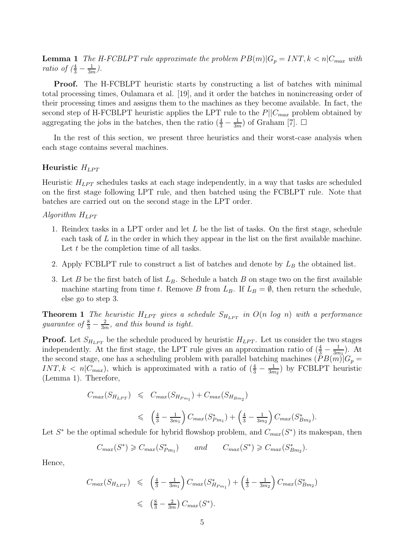**Lemma 1** The H-FCBLPT rule approximate the problem  $PB(m)|G_p = INT, k < n|C_{max}$  with ratio of  $\left(\frac{4}{3} - \frac{1}{3n}\right)$  $\frac{1}{3m}$ ).

Proof. The H-FCBLPT heuristic starts by constructing a list of batches with minimal total processing times, Oulamara et al. [19], and it order the batches in nonincreasing order of their processing times and assigns them to the machines as they become available. In fact, the second step of H-FCBLPT heuristic applies the LPT rule to the  $P||C_{max}$  problem obtained by aggregating the jobs in the batches, then the ratio  $(\frac{4}{3} - \frac{1}{3n})$  $\frac{1}{3m}$ ) of Graham [7].  $\square$ 

In the rest of this section, we present three heuristics and their worst-case analysis when each stage contains several machines.

#### Heuristic  $H_{LPT}$

Heuristic  $H_{LPT}$  schedules tasks at each stage independently, in a way that tasks are scheduled on the first stage following LPT rule, and then batched using the FCBLPT rule. Note that batches are carried out on the second stage in the LPT order.

#### Algorithm  $H_{LPT}$

- 1. Reindex tasks in a LPT order and let L be the list of tasks. On the first stage, schedule each task of  $L$  in the order in which they appear in the list on the first available machine. Let t be the completion time of all tasks.
- 2. Apply FCBLPT rule to construct a list of batches and denote by  $L_B$  the obtained list.
- 3. Let B be the first batch of list  $L_B$ . Schedule a batch B on stage two on the first available machine starting from time t. Remove B from  $L_B$ . If  $L_B = \emptyset$ , then return the schedule, else go to step 3.

**Theorem 1** The heuristic  $H_{LPT}$  gives a schedule  $S_{H_{LPT}}$  in  $O(n \log n)$  with a performance guarantee of  $\frac{8}{3} - \frac{2}{3n}$  $\frac{2}{3m}$ , and this bound is tight.

**Proof.** Let  $S_{H_{LPT}}$  be the schedule produced by heuristic  $H_{LPT}$ . Let us consider the two stages independently. At the first stage, the LPT rule gives an approximation ratio of  $(\frac{4}{3} - \frac{1}{3m})$  $\frac{1}{3m_1}$ . At the second stage, one has a scheduling problem with parallel batching machines  $(PB(m)|G_p =$ INT,  $k < n|C_{max}$ , which is approximated with a ratio of  $(\frac{4}{3} - \frac{1}{3m})$  $\frac{1}{3m_2}$ ) by FCBLPT heuristic (Lemma 1). Therefore,

$$
C_{max}(S_{H_{LPT}}) \leq C_{max}(S_{H_{Pm_1}}) + C_{max}(S_{H_{Bm_2}})
$$
  

$$
\leq \left(\frac{4}{3} - \frac{1}{3m_1}\right) C_{max}(S_{Pm_1}^*) + \left(\frac{4}{3} - \frac{1}{3m_2}\right) C_{max}(S_{Bm_2}^*).
$$

Let  $S^*$  be the optimal schedule for hybrid flowshop problem, and  $C_{max}(S^*)$  its makespan, then

$$
C_{max}(S^*) \geq C_{max}(S^*_{Pm_1}) \qquad and \qquad C_{max}(S^*) \geq C_{max}(S^*_{Bm_2}).
$$

Hence,

$$
C_{max}(S_{H_{LPT}}) \leq \left(\frac{4}{3} - \frac{1}{3m_1}\right) C_{max}(S_{H_{Pm_1}}^*) + \left(\frac{4}{3} - \frac{1}{3m_2}\right) C_{max}(S_{Bm_2}^*)
$$
  

$$
\leq \left(\frac{8}{3} - \frac{2}{3m}\right) C_{max}(S^*).
$$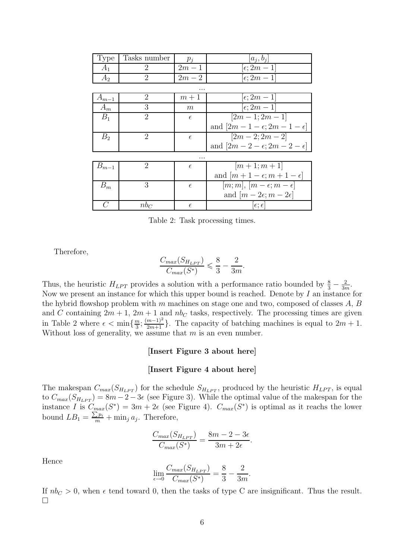| Type           | Tasks number                | $p_i$      | $ a_i, b_i $                                 |
|----------------|-----------------------------|------------|----------------------------------------------|
| $A_1$          | $\mathcal{D}_{\mathcal{L}}$ | $2m-1$     | $[\epsilon;2m-1]$                            |
| $A_2$          | 2                           | $2m-2$     | $[\epsilon; 2m-1]$                           |
|                |                             |            |                                              |
| $A_{m-1}$      | 2                           | $m+1$      | $[\epsilon; 2m-1]$                           |
| $A_m$          | 3                           | m          | $[\epsilon; 2m-1]$                           |
| $B_1$          | $\overline{2}$              | $\epsilon$ | $[2m-1;2m-1]$                                |
|                |                             |            | and $[2m-1-\epsilon;2m-1-\epsilon]$          |
| B <sub>2</sub> | $\overline{2}$              | $\epsilon$ | $[2m-2;2m-2]$                                |
|                |                             |            | and $[2m - 2 - \epsilon; 2m - 2 - \epsilon]$ |
|                |                             | $\cdots$   |                                              |
| $B_{m-1}$      | $\mathcal{D}_{\mathcal{L}}$ | $\epsilon$ | $ m+1; m+1 $                                 |
|                |                             |            | and $[m+1-\epsilon; m+1-\epsilon]$           |
| $B_m$          | 3                           | $\epsilon$ | $[m; m], [m - \epsilon; m - \epsilon]$       |
|                |                             |            | and $[m-2\epsilon; m-2\epsilon]$             |
| C              | nbc                         | $\epsilon$ | $ \epsilon;\epsilon $                        |

Table 2: Task processing times.

Therefore,

$$
\frac{C_{max}(S_{H_{LPT}})}{C_{max}(S^*)} \leq \frac{8}{3} - \frac{2}{3m}.
$$

Thus, the heuristic  $H_{LPT}$  provides a solution with a performance ratio bounded by  $\frac{8}{3} - \frac{2}{3n}$  $\frac{2}{3m}$ . Now we present an instance for which this upper bound is reached. Denote by  $I$  an instance for the hybrid flowshop problem with m machines on stage one and two, composed of classes  $A, B$ and C containing  $2m + 1$ ,  $2m + 1$  and  $nb<sub>C</sub>$  tasks, respectively. The processing times are given in Table 2 where  $\epsilon < \min\{\frac{m}{3}\}$  $\frac{1}{3}$ ;  $\frac{(m-1)^2}{2m+1}$ . The capacity of batching machines is equal to  $2m+1$ . Without loss of generality, we assume that  $m$  is an even number.

#### [Insert Figure 3 about here]

#### [Insert Figure 4 about here]

The makespan  $C_{max}(S_{H_{LPT}})$  for the schedule  $S_{H_{LPT}}$ , produced by the heuristic  $H_{LPT}$ , is equal to  $C_{max}(S_{H_{LPT}}) = 8m - 2 - 3\epsilon$  (see Figure 3). While the optimal value of the makespan for the instance I is  $C_{max}(S^*) = 3m + 2\epsilon$  (see Figure 4).  $C_{max}(S^*)$  is optimal as it reachs the lower bound  $LB_1 = \frac{\sum p_i}{m} + \min_j a_j$ . Therefore,

$$
\frac{C_{max}(S_{H_{LPT}})}{C_{max}(S^*)} = \frac{8m - 2 - 3\epsilon}{3m + 2\epsilon}
$$

.

Hence

$$
\lim_{\epsilon \to 0} \frac{C_{max}(S_{H_{LPT}})}{C_{max}(S^*)} = \frac{8}{3} - \frac{2}{3m}.
$$

If  $nb_C > 0$ , when  $\epsilon$  tend toward 0, then the tasks of type C are insignificant. Thus the result.  $\Box$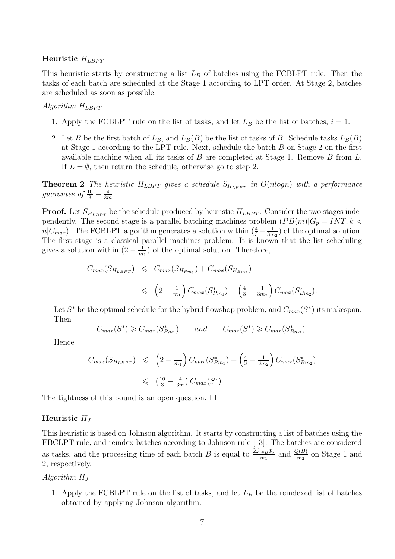#### Heuristic  $H_{LBPT}$

This heuristic starts by constructing a list  $L_B$  of batches using the FCBLPT rule. Then the tasks of each batch are scheduled at the Stage 1 according to LPT order. At Stage 2, batches are scheduled as soon as possible.

#### $Algorithm\ H_{LBPT}$

- 1. Apply the FCBLPT rule on the list of tasks, and let  $L_B$  be the list of batches,  $i = 1$ .
- 2. Let B be the first batch of  $L_B$ , and  $L_B(B)$  be the list of tasks of B. Schedule tasks  $L_B(B)$ at Stage 1 according to the LPT rule. Next, schedule the batch B on Stage 2 on the first available machine when all its tasks of  $B$  are completed at Stage 1. Remove  $B$  from  $L$ . If  $L = \emptyset$ , then return the schedule, otherwise go to step 2.

**Theorem 2** The heuristic  $H_{LBPT}$  gives a schedule  $S_{H_{LBPT}}$  in  $O(nlogn)$  with a performance guarantee of  $\frac{10}{3} - \frac{4}{3n}$  $\frac{4}{3m}$ .

**Proof.** Let  $S_{H_{LBPT}}$  be the schedule produced by heuristic  $H_{LBPT}$ . Consider the two stages independently. The second stage is a parallel batching machines problem  $(PB(m)|G_p = INT, k <$  $n|C_{max}$ ). The FCBLPT algorithm generates a solution within  $(\frac{4}{3} - \frac{1}{3m})$  $\frac{1}{3m_2}$ ) of the optimal solution. The first stage is a classical parallel machines problem. It is known that the list scheduling gives a solution within  $(2 - \frac{1}{m})$  $\frac{1}{m_1}$  of the optimal solution. Therefore,

$$
C_{max}(S_{H_{LBPT}}) \leq C_{max}(S_{H_{Pm_1}}) + C_{max}(S_{H_{Bm_2}})
$$
  

$$
\leq (2 - \frac{1}{m_1}) C_{max}(S_{Pm_1}^*) + (\frac{4}{3} - \frac{1}{3m_2}) C_{max}(S_{Bm_2}^*).
$$

Let  $S^*$  be the optimal schedule for the hybrid flowshop problem, and  $C_{max}(S^*)$  its makespan. Then

$$
C_{max}(S^*) \geq C_{max}(S_{Pm_1}^*) \qquad and \qquad C_{max}(S^*) \geq C_{max}(S_{Bm_2}^*).
$$

Hence

$$
C_{max}(S_{H_{LBPT}}) \leq (2 - \frac{1}{m_1}) C_{max}(S_{Pm_1}^*) + (\frac{4}{3} - \frac{1}{3m_2}) C_{max}(S_{Bm_2}^*)
$$
  

$$
\leq (\frac{10}{3} - \frac{4}{3m}) C_{max}(S^*).
$$

The tightness of this bound is an open question.  $\Box$ 

#### Heuristic  $H_J$

This heuristic is based on Johnson algorithm. It starts by constructing a list of batches using the FBCLPT rule, and reindex batches according to Johnson rule [13]. The batches are considered as tasks, and the processing time of each batch B is equal to  $\frac{\sum_{j\in B} p_j}{m_j}$  $\frac{q_{i\in B} p_j}{m_1}$  and  $\frac{Q(B)}{m_2}$  on Stage 1 and 2, respectively.

#### Algorithm  $H_J$

1. Apply the FCBLPT rule on the list of tasks, and let  $L_B$  be the reindexed list of batches obtained by applying Johnson algorithm.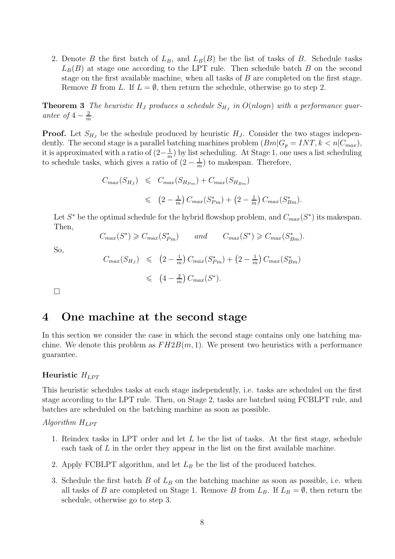2. Denote B the first batch of  $L_B$ , and  $L_B(B)$  be the list of tasks of B. Schedule tasks  $L_B(B)$  at stage one according to the LPT rule. Then schedule batch B on the second stage on the first available machine, when all tasks of  $B$  are completed on the first stage. Remove B from L. If  $L = \emptyset$ , then return the schedule, otherwise go to step 2.

**Theorem 3** The heuristic H<sub>J</sub> produces a schedule  $S_{H_J}$  in  $O(n \log n)$  with a performance guarantee of  $4-\frac{2}{n}$  $\frac{2}{m}$ .

**Proof.** Let  $S_{HJ}$  be the schedule produced by heuristic  $HJ$ . Consider the two stages independently. The second stage is a parallel batching machines problem  $(Bm|G_p = INT, k < n|C_{max})$ , it is approximated with a ratio of  $\left(2-\frac{1}{m}\right)$  $(\frac{1}{m})$  by list scheduling. At Stage 1, one uses a list scheduling to schedule tasks, which gives a ratio of  $(2 - \frac{1}{m})$  $\frac{1}{m}$ ) to makespan. Therefore,

$$
C_{max}(S_{H_J}) \leq C_{max}(S_{H_{Pm}}) + C_{max}(S_{H_{Bm}})
$$
  

$$
\leq (2 - \frac{1}{m}) C_{max}(S_{Pm}^*) + (2 - \frac{1}{m}) C_{max}(S_{Bm}^*).
$$

Let  $S^*$  be the optimal schedule for the hybrid flowshop problem, and  $C_{max}(S^*)$  its makespan. Then,

 $C_{max}(S^*) \geqslant C_{max}(S_{Pm}^*)$  and  $C_{max}(S^*) \geqslant C_{max}(S_{Bm}^*)$ .

So,

$$
C_{max}(S_{H_J}) \leq (2 - \frac{1}{m}) C_{max}(S_{Pm}^*) + (2 - \frac{1}{m}) C_{max}(S_{Bm}^*)
$$
  

$$
\leq (4 - \frac{2}{m}) C_{max}(S^*).
$$

 $\Box$ 

# 4 One machine at the second stage

In this section we consider the case in which the second stage contains only one batching machine. We denote this problem as  $FH2B(m, 1)$ . We present two heuristics with a performance guarantee.

#### Heuristic  $H_{LPT}$

This heuristic schedules tasks at each stage independently, i.e. tasks are scheduled on the first stage according to the LPT rule. Then, on Stage 2, tasks are batched using FCBLPT rule, and batches are scheduled on the batching machine as soon as possible.

#### Algorithm  $H_{LPT}$

- 1. Reindex tasks in LPT order and let L be the list of tasks. At the first stage, schedule each task of L in the order they appear in the list on the first available machine.
- 2. Apply FCBLPT algorithm, and let  $L_B$  be the list of the produced batches.
- 3. Schedule the first batch  $B$  of  $L_B$  on the batching machine as soon as possible, i.e. when all tasks of B are completed on Stage 1. Remove B from  $L_B$ . If  $L_B = \emptyset$ , then return the schedule, otherwise go to step 3.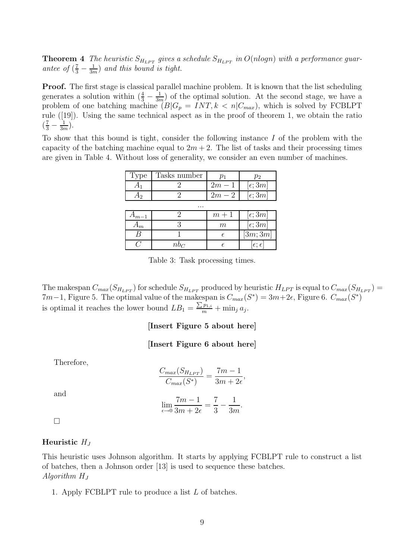**Theorem 4** The heuristic  $S_{H_{LPT}}$  gives a schedule  $S_{H_{LPT}}$  in  $O(nlogn)$  with a performance guarantee of  $\left(\frac{7}{3} - \frac{1}{3n}\right)$  $\frac{1}{3m}$ ) and this bound is tight.

Proof. The first stage is classical parallel machine problem. It is known that the list scheduling generates a solution within  $\left(\frac{4}{3} - \frac{1}{3n}\right)$  $\frac{1}{3m}$ ) of the optimal solution. At the second stage, we have a problem of one batching machine  $(B|G_p = INT, k < n|C_{max})$ , which is solved by FCBLPT rule ([19]). Using the same technical aspect as in the proof of theorem 1, we obtain the ratio  $\left(\frac{7}{3}-\frac{1}{3n}\right)$  $\frac{1}{3m}$ ).

To show that this bound is tight, consider the following instance I of the problem with the capacity of the batching machine equal to  $2m + 2$ . The list of tasks and their processing times are given in Table 4. Without loss of generality, we consider an even number of machines.

| Type      | Tasks number | $p_1$      | $p_2$                 |
|-----------|--------------|------------|-----------------------|
| $A_1$     |              | $2m-1$     | $[\epsilon;3m]$       |
| $A_2$     |              | $2m-2$     | $[\epsilon;3m]$       |
|           |              |            |                       |
| $A_{m-1}$ |              | $m+1$      | $[\epsilon; 3m]$      |
| $A_m$     | 3            | m          | $[\epsilon; 3m]$      |
| B         |              | $\epsilon$ | [3m;3m]               |
| C!        | $nb_C$       | $\epsilon$ | $ \epsilon;\epsilon $ |

Table 3: Task processing times.

The makespan  $C_{max}(S_{H_{LPT}})$  for schedule  $S_{H_{LPT}}$  produced by heuristic  $H_{LPT}$  is equal to  $C_{max}(S_{H_{LPT}})$  =  $7m-1$ , Figure 5. The optimal value of the makespan is  $C_{max}(S^*) = 3m+2\epsilon$ , Figure 6.  $C_{max}(S^*)$ is optimal it reaches the lower bound  $LB_1 = \frac{\sum p_{1,i}}{m} + \min_j a_j$ .

[Insert Figure 5 about here]

#### [Insert Figure 6 about here]

Therefore,

$$
\frac{C_{max}(S_{H_{LPT}})}{C_{max}(S^*)} = \frac{7m - 1}{3m + 2\epsilon},
$$
  
and  

$$
\lim_{\epsilon \to 0} \frac{7m - 1}{3m + 2\epsilon} = \frac{7}{3} - \frac{1}{3m}.
$$

#### $\Box$

#### Heuristic  $H_J$

This heuristic uses Johnson algorithm. It starts by applying FCBLPT rule to construct a list of batches, then a Johnson order [13] is used to sequence these batches. Algorithm  $H_J$ 

1. Apply FCBLPT rule to produce a list L of batches.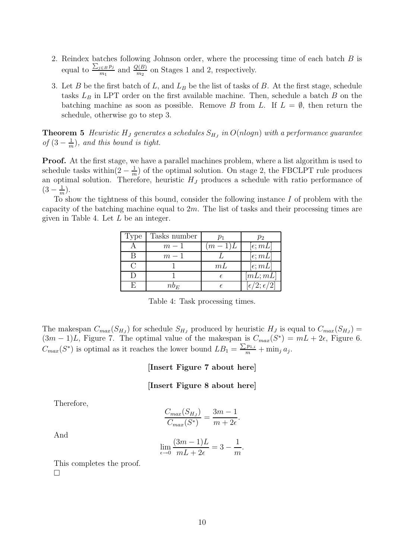- 2. Reindex batches following Johnson order, where the processing time of each batch  $B$  is equal to  $\frac{\sum_{j\in B} p_j}{m}$  $\frac{m_1}{m_1}$  and  $\frac{Q(B)}{m_2}$  on Stages 1 and 2, respectively.
- 3. Let B be the first batch of L, and  $L_B$  be the list of tasks of B. At the first stage, schedule tasks  $L_B$  in LPT order on the first available machine. Then, schedule a batch  $B$  on the batching machine as soon as possible. Remove B from L. If  $L = \emptyset$ , then return the schedule, otherwise go to step 3.

**Theorem 5** Heuristic H<sub>J</sub> generates a schedules  $S_{H_J}$  in  $O(nlogn)$  with a performance guarantee *of*  $\left(3 - \frac{1}{n}\right)$  $\frac{1}{m}$ ), and this bound is tight.

Proof. At the first stage, we have a parallel machines problem, where a list algorithm is used to schedule tasks within $(2-\frac{1}{n})$  $\frac{1}{m}$ ) of the optimal solution. On stage 2, the FBCLPT rule produces an optimal solution. Therefore, heuristic  $H_J$  produces a schedule with ratio performance of  $(3 - \frac{1}{n})$  $\frac{1}{m}$ ).

To show the tightness of this bound, consider the following instance I of problem with the capacity of the batching machine equal to  $2m$ . The list of tasks and their processing times are given in Table 4. Let  $L$  be an integer.

| Type   | Tasks number | $p_1$    | $p_2$                     |
|--------|--------------|----------|---------------------------|
|        | $m-1$        | $(m-1)L$ | $[\epsilon; mL]$          |
| В      | $m-1$        |          | $[\epsilon; mL]$          |
| $\cap$ |              | mL       | $[\epsilon; mL]$          |
|        |              |          | [mL; mL]                  |
|        | $nb_E$       |          | $ \epsilon/2;\epsilon/2 $ |

Table 4: Task processing times.

The makespan  $C_{max}(S_{H_J})$  for schedule  $S_{H_J}$  produced by heuristic  $H_J$  is equal to  $C_{max}(S_{H_J})$  =  $(3m-1)L$ , Figure 7. The optimal value of the makespan is  $C_{max}(S^*) = mL + 2\epsilon$ , Figure 6.  $C_{max}(S^*)$  is optimal as it reaches the lower bound  $LB_1 = \frac{\sum p_{1,i}}{m} + \min_j a_j$ .

[Insert Figure 7 about here]

#### [Insert Figure 8 about here]

Therefore,

$$
\frac{C_{max}(S_{H_J})}{C_{max}(S^*)} = \frac{3m-1}{m+2\epsilon}.
$$

And

$$
\lim_{\epsilon \to 0} \frac{(3m-1)L}{mL + 2\epsilon} = 3 - \frac{1}{m}.
$$

This completes the proof.  $\Box$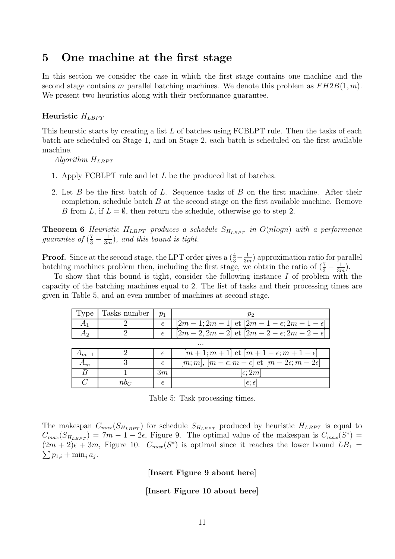### 5 One machine at the first stage

In this section we consider the case in which the first stage contains one machine and the second stage contains m parallel batching machines. We denote this problem as  $FH2B(1, m)$ . We present two heuristics along with their performance guarantee.

#### Heuristic  $H_{LBPT}$

This heurstic starts by creating a list  $L$  of batches using FCBLPT rule. Then the tasks of each batch are scheduled on Stage 1, and on Stage 2, each batch is scheduled on the first available machine.

Algorithm  $H_{LBPT}$ 

- 1. Apply FCBLPT rule and let L be the produced list of batches.
- 2. Let  $B$  be the first batch of  $L$ . Sequence tasks of  $B$  on the first machine. After their completion, schedule batch  $B$  at the second stage on the first available machine. Remove B from L, if  $L = \emptyset$ , then return the schedule, otherwise go to step 2.

**Theorem 6** Heuristic H<sub>LBPT</sub> produces a schedule  $S_{H_{LBPT}}$  in  $O(nlogn)$  with a performance guarantee of  $(\frac{7}{3} - \frac{1}{3n})$  $\frac{1}{3m}$ ), and this bound is tight.

**Proof.** Since at the second stage, the LPT order gives a  $(\frac{4}{3} - \frac{1}{3n})$  $\frac{1}{3m}$ ) approximation ratio for parallel batching machines problem then, including the first stage, we obtain the ratio of  $(\frac{7}{3} - \frac{1}{3n})$  $\frac{1}{3m}$ ).

To show that this bound is tight, consider the following instance I of problem with the capacity of the batching machines equal to 2. The list of tasks and their processing times are given in Table 5, and an even number of machines at second stage.

| 'Type          | Tasks number | $p_1$      | $p_2$                                                                      |  |  |  |  |  |
|----------------|--------------|------------|----------------------------------------------------------------------------|--|--|--|--|--|
| $A_1$          |              | $\epsilon$ | $[2m-1;2m-1]$ et $[2m-1-\epsilon;2m-1-\epsilon]$                           |  |  |  |  |  |
| A <sub>2</sub> |              | $\epsilon$ | $[2m-2, 2m-2]$ et $[2m-2-\epsilon; 2m-2-\epsilon]$                         |  |  |  |  |  |
|                | $\cdots$     |            |                                                                            |  |  |  |  |  |
| $A_{m-1}$      |              | $\epsilon$ | $[m+1; m+1]$ et $[m+1-\epsilon; m+1-\epsilon]$                             |  |  |  |  |  |
| $A_m$          |              | $\epsilon$ | $[m; m], [m - \epsilon; m - \epsilon]$ et $[m - 2\epsilon; m - 2\epsilon]$ |  |  |  |  |  |
| B              |              | 3m         | $[\epsilon;2m]$                                                            |  |  |  |  |  |
|                |              | $\epsilon$ | $ \epsilon;\epsilon $                                                      |  |  |  |  |  |

Table 5: Task processing times.

The makespan  $C_{max}(S_{H_{LBPT}})$  for schedule  $S_{H_{LBPT}}$  produced by heuristic  $H_{LBPT}$  is equal to  $C_{max}(S_{H_{LBPT}}) = 7m - 1 - 2\epsilon$ , Figure 9. The optimal value of the makespan is  $C_{max}(S^*) =$  $(2m + 2)\epsilon + 3m$ , Figure 10.  $C_{max}(S^*)$  is optimal since it reaches the lower bound  $LB_1 =$  $\sum p_{1,i} + \min_j a_j.$ 

[Insert Figure 9 about here]

[Insert Figure 10 about here]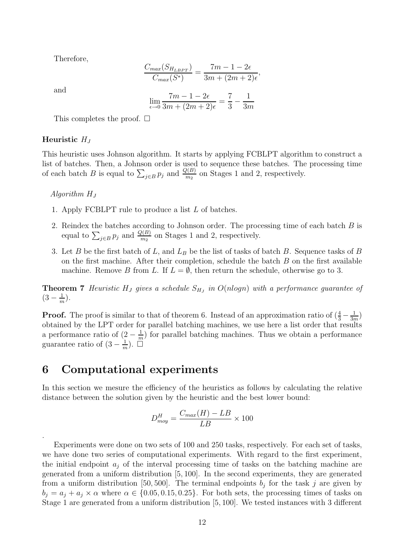Therefore,

$$
\frac{C_{max}(S_{H_{LBPT}})}{C_{max}(S^*)} = \frac{7m - 1 - 2\epsilon}{3m + (2m + 2)\epsilon},
$$

and

$$
\lim_{\epsilon \to 0} \frac{7m - 1 - 2\epsilon}{3m + (2m + 2)\epsilon} = \frac{7}{3} - \frac{1}{3m}
$$

This completes the proof.  $\square$ 

#### Heuristic  $H_J$

This heuristic uses Johnson algorithm. It starts by applying FCBLPT algorithm to construct a list of batches. Then, a Johnson order is used to sequence these batches. The processing time of each batch B is equal to  $\sum_{j\in B} p_j$  and  $\frac{Q(B)}{m_2}$  on Stages 1 and 2, respectively.

Algorithm  $H_J$ 

.

- 1. Apply FCBLPT rule to produce a list L of batches.
- 2. Reindex the batches according to Johnson order. The processing time of each batch  $B$  is equal to  $\sum_{j\in B} p_j$  and  $\frac{Q(B)}{m_2}$  on Stages 1 and 2, respectively.
- 3. Let B be the first batch of L, and  $L_B$  be the list of tasks of batch B. Sequence tasks of B on the first machine. After their completion, schedule the batch  $B$  on the first available machine. Remove B from L. If  $L = \emptyset$ , then return the schedule, otherwise go to 3.

**Theorem 7** Heuristic H<sub>J</sub> gives a schedule  $S_{H_J}$  in  $O(n \log n)$  with a performance guarantee of  $(3 - \frac{1}{n})$  $\frac{1}{m}$ ).

**Proof.** The proof is similar to that of theorem 6. Instead of an approximation ratio of  $(\frac{4}{3} - \frac{1}{3n})$  $\frac{1}{3m}$ obtained by the LPT order for parallel batching machines, we use here a list order that results a performance ratio of  $(2 - \frac{1}{n})$  $\frac{1}{m}$ ) for parallel batching machines. Thus we obtain a performance guarantee ratio of  $(3 - \frac{1}{n})$  $\frac{1}{m}$ ).  $\Box$ 

# 6 Computational experiments

In this section we mesure the efficiency of the heuristics as follows by calculating the relative distance between the solution given by the heuristic and the best lower bound:

$$
D_{moy}^H = \frac{C_{max}(H) - LB}{LB} \times 100
$$

Experiments were done on two sets of 100 and 250 tasks, respectively. For each set of tasks, we have done two series of computational experiments. With regard to the first experiment, the initial endpoint  $a_i$  of the interval processing time of tasks on the batching machine are generated from a uniform distribution [5, 100]. In the second experiments, they are generated from a uniform distribution [50, 500]. The terminal endpoints  $b_j$  for the task j are given by  $b_j = a_j + a_j \times \alpha$  where  $\alpha \in \{0.05, 0.15, 0.25\}$ . For both sets, the processing times of tasks on Stage 1 are generated from a uniform distribution [5, 100]. We tested instances with 3 different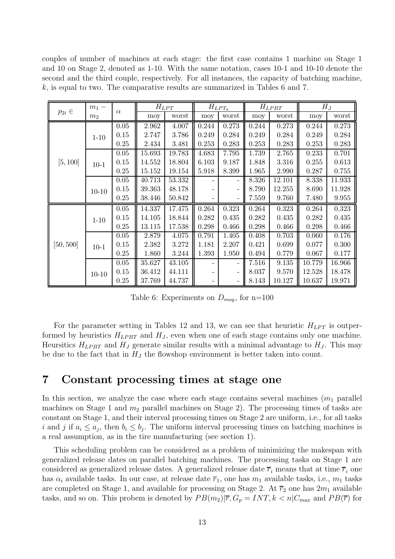couples of number of machines at each stage: the first case contains 1 machine on Stage 1 and 10 on Stage 2, denoted as 1-10. With the same notation, cases 10-1 and 10-10 denote the second and the third couple, respectively. For all instances, the capacity of batching machine,  $k$ , is equal to two. The comparative results are summarized in Tables 6 and 7.

| $p_{2i} \in$ | $m_1 -$   | $\alpha$ |        | $H_{LPT}$ |       | $H_{LPT_a}$              |       | $H_{LPB\underline{T}}$ |        | $H_J$  |  |
|--------------|-----------|----------|--------|-----------|-------|--------------------------|-------|------------------------|--------|--------|--|
|              | $\,m_2$   |          | moy    | worst     | moy   | worst                    | moy   | worst                  | moy    | worst  |  |
|              |           | 0.05     | 2.962  | 4.007     | 0.244 | 0.273                    | 0.244 | 0.273                  | 0.244  | 0.273  |  |
|              | $1 - 10$  | 0.15     | 2.747  | 3.786     | 0.249 | 0.284                    | 0.249 | 0.284                  | 0.249  | 0.284  |  |
|              |           | 0.25     | 2.434  | 3.481     | 0.253 | 0.283                    | 0.253 | 0.283                  | 0.253  | 0.283  |  |
|              |           | 0.05     | 15.693 | 19.783    | 4.683 | 7.795                    | 1.739 | 2.765                  | 0.233  | 0.701  |  |
| [5, 100]     | $10-1$    | 0.15     | 14.552 | 18.804    | 6.103 | 9.187                    | 1.848 | 3.316                  | 0.255  | 0.613  |  |
|              |           | 0.25     | 15.152 | 19.154    | 5.918 | 8.399                    | 1.965 | 2.990                  | 0.287  | 0.755  |  |
|              | $10 - 10$ | 0.05     | 40.713 | 53.332    | -     | $\overline{\phantom{0}}$ | 8.326 | 12.101                 | 8.338  | 11.933 |  |
|              |           | 0.15     | 39.363 | 48.178    |       | -                        | 8.790 | 12.255                 | 8.690  | 11.928 |  |
|              |           | 0.25     | 38.446 | 50.842    | -     | $\overline{\phantom{0}}$ | 7.559 | 9.760                  | 7.480  | 9.955  |  |
|              | $1 - 10$  | $0.05\,$ | 14.337 | 17.475    | 0.264 | 0.323                    | 0.264 | 0.323                  | 0.264  | 0.323  |  |
|              |           | 0.15     | 14.105 | 18.844    | 0.282 | 0.435                    | 0.282 | 0.435                  | 0.282  | 0.435  |  |
|              |           | 0.25     | 13.115 | 17.538    | 0.298 | 0.466                    | 0.298 | 0.466                  | 0.298  | 0.466  |  |
|              |           | 0.05     | 2.879  | 4.075     | 0.791 | 1.405                    | 0.408 | 0.703                  | 0.060  | 0.176  |  |
| [50, 500]    | $10 - 1$  | 0.15     | 2.382  | 3.272     | 1.181 | 2.207                    | 0.421 | 0.699                  | 0.077  | 0.300  |  |
|              |           | 0.25     | 1.860  | 3.244     | 1.393 | 1.950                    | 0.494 | 0.779                  | 0.067  | 0.177  |  |
|              |           | 0.05     | 35.627 | 43.105    |       | $\qquad \qquad -$        | 7.516 | 9.135                  | 10.779 | 16.966 |  |
|              | $10 - 10$ | 0.15     | 36.412 | 44.111    |       | -                        | 8.037 | 9.570                  | 12.528 | 18.478 |  |
|              |           | 0.25     | 37.769 | 44.737    |       | -                        | 8.143 | 10.127                 | 10.637 | 19.971 |  |

Table 6: Experiments on  $D_{moy}$ , for n=100

For the parameter setting in Tables 12 and 13, we can see that heuristic  $H_{LPT}$  is outperformed by heuristics  $H_{LPBT}$  and  $H_J$ , even when one of each stage contains only one machine. Heursitics  $H_{LPBT}$  and  $H_J$  generate similar results with a minimal advantage to  $H_J$ . This may be due to the fact that in  $H_J$  the flowshop environment is better taken into count.

# 7 Constant processing times at stage one

In this section, we analyze the case where each stage contains several machines  $(m_1$  parallel machines on Stage 1 and  $m_2$  parallel machines on Stage 2). The processing times of tasks are constant on Stage 1, and their interval processing times on Stage 2 are uniform, i.e., for all tasks i and j if  $a_i \leq a_j$ , then  $b_i \leq b_j$ . The uniform interval processing times on batching machines is a real assumption, as in the tire manufacturing (see section 1).

This scheduling problem can be considered as a problem of minimizing the makespan with generalized release dates on parallel batching machines. The processing tasks on Stage 1 are considered as generalized release dates. A generalized release date  $\overline{r}_i$  means that at time  $\overline{r}_i$  one has  $\alpha_i$  available tasks. In our case, at release date  $\overline{r}_1$ , one has  $m_1$  available tasks, i.e.,  $m_1$  tasks are completed on Stage 1, and available for processing on Stage 2. At  $\overline{r}_2$  one has  $2m_1$  available tasks, and so on. This probem is denoted by  $PB(m_2)|\overline{r}, G_p = INT, k < n|C_{max}$  and  $PB(\overline{r})$  for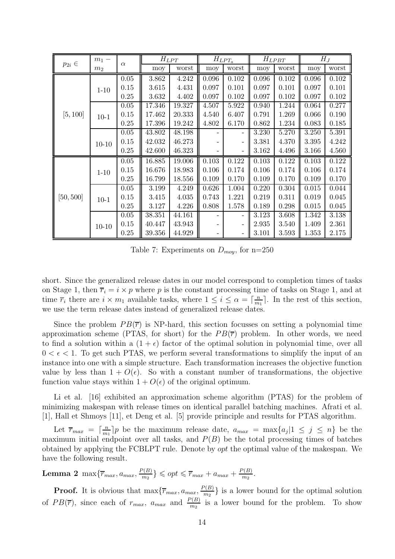| $p_{2i} \in$ | $m_1 -$        | $\alpha$ |        | $H_{LPT}$ | $H_{LPT_a}$ |                 | $H_{LPBT}$ |           | $\overline{H_J}$ |       |
|--------------|----------------|----------|--------|-----------|-------------|-----------------|------------|-----------|------------------|-------|
|              | m <sub>2</sub> |          | moy    | worst     | moy         | worst           | moy        | worst     | moy              | worst |
|              |                | $0.05\,$ | 3.862  | 4.242     | 0.096       | 0.102           | 0.096      | $0.102\,$ | 0.096            | 0.102 |
|              | $1 - 10$       | 0.15     | 3.615  | 4.431     | 0.097       | 0.101           | 0.097      | 0.101     | 0.097            | 0.101 |
|              |                | 0.25     | 3.632  | 4.402     | 0.097       | 0.102           | 0.097      | 0.102     | 0.097            | 0.102 |
|              |                | 0.05     | 17.346 | 19.327    | 4.507       | 5.922           | 0.940      | 1.244     | 0.064            | 0.277 |
| [5, 100]     | $10 - 1$       | 0.15     | 17.462 | 20.333    | 4.540       | 6.407           | 0.791      | 1.269     | 0.066            | 0.190 |
|              |                | 0.25     | 17.396 | 19.242    | 4.802       | 6.170           | 0.862      | 1.234     | 0.083            | 0.185 |
|              | $10 - 10$      | 0.05     | 43.802 | 48.198    |             |                 | 3.230      | 5.270     | 3.250            | 5.391 |
|              |                | 0.15     | 42.032 | 46.273    |             |                 | 3.381      | 4.370     | 3.395            | 4.242 |
|              |                | 0.25     | 42.600 | 46.323    |             |                 | 3.162      | 4.496     | 3.166            | 4.560 |
|              | $1 - 10$       | 0.05     | 16.885 | 19.006    | 0.103       | 0.122           | 0.103      | 0.122     | 0.103            | 0.122 |
|              |                | 0.15     | 16.676 | 18.983    | 0.106       | 0.174           | 0.106      | 0.174     | 0.106            | 0.174 |
|              |                | 0.25     | 16.799 | 18.556    | 0.109       | 0.170           | 0.109      | 0.170     | 0.109            | 0.170 |
|              |                | 0.05     | 3.199  | 4.249     | 0.626       | 1.004           | 0.220      | 0.304     | 0.015            | 0.044 |
| [50, 500]    | $10 - 1$       | 0.15     | 3.415  | 4.035     | 0.743       | 1.221           | 0.219      | 0.311     | 0.019            | 0.045 |
|              |                | 0.25     | 3.127  | 4.226     | 0.808       | 1.578           | 0.189      | 0.298     | 0.015            | 0.045 |
|              |                | 0.05     | 38.351 | 44.161    |             |                 | 3.123      | 3.608     | 1.342            | 3.138 |
|              | $10 - 10$      | 0.15     | 40.447 | 43.943    |             |                 | 2.935      | 3.540     | 1.409            | 2.361 |
|              |                | 0.25     | 39.356 | 44.929    |             | $\qquad \qquad$ | 3.101      | 3.593     | 1.353            | 2.175 |

Table 7: Experiments on  $D_{m\omega}$ , for n=250

short. Since the generalized release dates in our model correspond to completion times of tasks on Stage 1, then  $\overline{r}_i = i \times p$  where p is the constant processing time of tasks on Stage 1, and at time  $\overline{r}_i$  there are  $i \times m_1$  available tasks, where  $1 \leq i \leq \alpha = \lceil \frac{n}{m} \rceil$  $\frac{n}{m_1}$ . In the rest of this section, we use the term release dates instead of generalized release dates.

Since the problem  $PB(\overline{r})$  is NP-hard, this section focusses on setting a polynomial time approximation scheme (PTAS, for short) for the  $PB(\bar{r})$  problem. In other words, we need to find a solution within a  $(1 + \epsilon)$  factor of the optimal solution in polynomial time, over all  $0 < \epsilon < 1$ . To get such PTAS, we perform several transformations to simplify the input of an instance into one with a simple structure. Each transformation increases the objective function value by less than  $1 + O(\epsilon)$ . So with a constant number of transformations, the objective function value stays within  $1 + O(\epsilon)$  of the original optimum.

Li et al. [16] exhibited an approximation scheme algorithm (PTAS) for the problem of minimizing makespan with release times on identical parallel batching machines. Afrati et al. [1], Hall et Shmoys [11], et Deng et al. [5] provide principle and results for PTAS algorithm.

Let  $\overline{r}_{max} = \left\lceil \frac{n}{m} \right\rceil$  $\frac{n}{m_1}$  p be the maximum release date,  $a_{max} = \max\{a_j | 1 \leq j \leq n\}$  be the maximum initial endpoint over all tasks, and  $P(B)$  be the total processing times of batches obtained by applying the FCBLPT rule. Denote by opt the optimal value of the makespan. We have the following result.

Lemma 2 max $\{\overline{r}_{max}, a_{max}, \frac{P(B)}{m_2}\}$  $\left\{\frac{P(B)}{m_2}\right\} \leqslant opt \leqslant \overline{r}_{max} + a_{max} + \frac{P(B)}{m_2}$  $\frac{(B)}{m_2}$ .

**Proof.** It is obvious that  $\max{\{\overline{r}_{max}, a_{max}, \frac{P(B)}{m}}\}$  $\frac{\gamma(B)}{m_2}$  is a lower bound for the optimal solution of  $PB(\overline{r})$ , since each of  $r_{max}$ ,  $a_{max}$  and  $\frac{P(B)}{m_2}$  is a lower bound for the problem. To show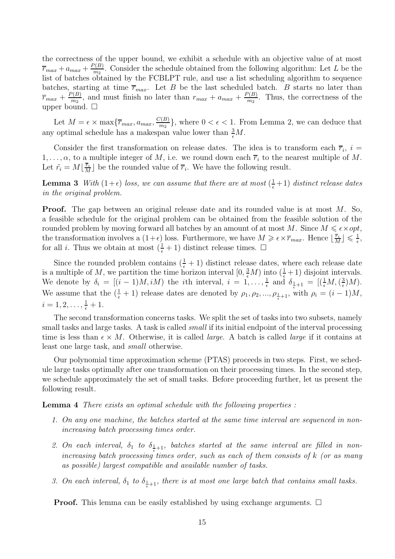the correctness of the upper bound, we exhibit a schedule with an objective value of at most  $\overline{r}_{max} + a_{max} + \frac{P(B)}{m_2}$  $\frac{1}{m_2}$ . Consider the schedule obtained from the following algorithm: Let L be the list of batches obtained by the FCBLPT rule, and use a list scheduling algorithm to sequence batches, starting at time  $\overline{r}_{max}$ . Let B be the last scheduled batch. B starts no later than  $\overline{r}_{max} + \frac{P(B)}{m_2}$  $\frac{P(B)}{m_2}$ , and must finish no later than  $r_{max} + a_{max} + \frac{P(B)}{m_2}$  $\frac{\gamma(B)}{m_2}$ . Thus, the correctness of the upper bound.  $\square$ 

Let  $M = \epsilon \times \max\{\overline{r}_{max}, a_{max}, \frac{C(B)}{m_2}\}$  $\frac{\mu(D)}{m_2}$ , where  $0 < \epsilon < 1$ . From Lemma 2, we can deduce that any optimal schedule has a makespan value lower than  $\frac{3}{\epsilon}M$ .

Consider the first transformation on release dates. The idea is to transform each  $\overline{r}_i$ ,  $i =$  $1, \ldots, \alpha$ , to a multiple integer of M, i.e. we round down each  $\overline{r}_i$  to the nearest multiple of M. Let  $\tilde{r}_i = M \left\lfloor \frac{\overline{r}_i}{M} \right\rfloor$  $\frac{r_i}{M}$  be the rounded value of  $\overline{r}_i$ . We have the following result.

**Lemma 3** With  $(1+\epsilon)$  loss, we can assume that there are at most  $(\frac{1}{\epsilon}+1)$  distinct release dates in the original problem.

**Proof.** The gap between an original release date and its rounded value is at most  $M$ . So, a feasible schedule for the original problem can be obtained from the feasible solution of the rounded problem by moving forward all batches by an amount of at most M. Since  $M \leq \epsilon \times opt$ , the transformation involves a  $(1+\epsilon)$  loss. Furthermore, we have  $M \geq \epsilon \times \overline{r}_{max}$ . Hence  $\lfloor \frac{\overline{r}_i}{M} \rfloor$  $\frac{\overline{r}_i}{M} \rfloor \leqslant \frac{1}{\epsilon}$  $\frac{1}{\epsilon},$ for all *i*. Thus we obtain at most  $(\frac{1}{\epsilon} + 1)$  distinct release times.  $\Box$ 

Since the rounded problem contains  $(\frac{1}{\epsilon}+1)$  distinct release dates, where each release date is a multiple of M, we partition the time horizon interval  $[0, \frac{3}{\epsilon}M)$  into  $(\frac{1}{\epsilon}+1)$  disjoint intervals. We denote by  $\delta_i = [(i-1)M, iM]$  the *i*th interval,  $i = 1, \ldots, \frac{1}{\epsilon}$  $\frac{1}{\epsilon}$  and  $\delta_{\frac{1}{\epsilon}+1} = [(\frac{1}{\epsilon}M,(\frac{3}{\epsilon})$  $\frac{3}{\epsilon}$ ) $M$ ). We assume that the  $(\frac{1}{\epsilon}+1)$  release dates are denoted by  $\rho_1, \rho_2, ..., \rho_{\frac{1}{\epsilon}+1}$ , with  $\rho_i = (i-1)M$ ,  $i = 1, 2, \ldots, \frac{1}{\epsilon} + 1.$ 

The second transformation concerns tasks. We split the set of tasks into two subsets, namely small tasks and large tasks. A task is called *small* if its initial endpoint of the interval processing time is less than  $\epsilon \times M$ . Otherwise, it is called *large*. A batch is called *large* if it contains at least one large task, and small otherwise.

Our polynomial time approximation scheme (PTAS) proceeds in two steps. First, we schedule large tasks optimally after one transformation on their processing times. In the second step, we schedule approximately the set of small tasks. Before proceeding further, let us present the following result.

Lemma 4 There exists an optimal schedule with the following properties :

- 1. On any one machine, the batches started at the same time interval are sequenced in nonincreasing batch processing times order.
- 2. On each interval,  $\delta_1$  to  $\delta_{\frac{1}{\epsilon}+1}$ , batches started at the same interval are filled in nonincreasing batch processing times order, such as each of them consists of  $k$  (or as many as possible) largest compatible and available number of tasks.
- 3. On each interval,  $\delta_1$  to  $\delta_{\frac{1}{\epsilon}+1}$ , there is at most one large batch that contains small tasks.

**Proof.** This lemma can be easily established by using exchange arguments.  $\Box$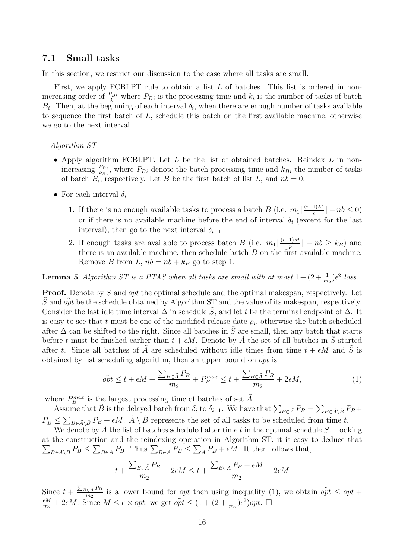#### 7.1 Small tasks

In this section, we restrict our discussion to the case where all tasks are small.

First, we apply FCBLPT rule to obtain a list  $L$  of batches. This list is ordered in nonincreasing order of  $\frac{P_{Bi}}{k_i}$  where  $P_{Bi}$  is the processing time and  $k_i$  is the number of tasks of batch  $B_i$ . Then, at the beginning of each interval  $\delta_i$ , when there are enough number of tasks available to sequence the first batch of L, schedule this batch on the first available machine, otherwise we go to the next interval.

Algorithm ST

- Apply algorithm FCBLPT. Let  $L$  be the list of obtained batches. Reindex  $L$  in nonincreasing  $\frac{P_{Bi}}{k_{Bi}}$ , where  $P_{Bi}$  denote the batch processing time and  $k_{Bi}$  the number of tasks of batch  $B_i$ , respectively. Let B be the first batch of list L, and  $nb = 0$ .
- For each interval  $\delta_i$ 
	- 1. If there is no enough available tasks to process a batch B (i.e.  $m_1 \lfloor \frac{(i-1)M}{n} \rfloor$  $\frac{1}{p}$  $\lfloor -nb \leq 0 \rfloor$ or if there is no available machine before the end of interval  $\delta_i$  (except for the last interval), then go to the next interval  $\delta_{i+1}$
	- 2. If enough tasks are available to process batch B (i.e.  $m_1 \lfloor \frac{(i-1)M}{n} \rfloor$  $\frac{1}{p}$ | - nb  $\geq k_B$ ) and there is an available machine, then schedule batch B on the first available machine. Remove B from L,  $nb = nb + k_B$  go to step 1.

**Lemma 5** Algorithm ST is a PTAS when all tasks are small with at most  $1 + (2 + \frac{1}{m_2})\epsilon^2$  loss.

**Proof.** Denote by S and opt the optimal schedule and the optimal makespan, respectively. Let  $\tilde{S}$  and  $\tilde{\varphi}$  be the schedule obtained by Algorithm ST and the value of its makespan, respectively. Consider the last idle time interval  $\Delta$  in schedule  $\tilde{S}$ , and let t be the terminal endpoint of  $\Delta$ . It is easy to see that t must be one of the modified release date  $\rho_i$ , otherwise the batch scheduled after  $\Delta$  can be shifted to the right. Since all batches in  $\tilde{S}$  are small, then any batch that starts before t must be finished earlier than  $t + \epsilon M$ . Denote by  $\tilde{A}$  the set of all batches in  $\tilde{S}$  started after t. Since all batches of A are scheduled without idle times from time  $t + \epsilon M$  and  $\tilde{S}$  is obtained by list scheduling algorithm, then an upper bound on  $\tilde{opt}$  is

$$
\tilde{opt} \le t + \epsilon M + \frac{\sum_{B \in \tilde{A}} P_B}{m_2} + P_B^{max} \le t + \frac{\sum_{B \in \tilde{A}} P_B}{m_2} + 2\epsilon M,\tag{1}
$$

where  $P_B^{max}$  is the largest processing time of batches of set  $\tilde{A}$ .

Assume that  $\tilde{B}$  is the delayed batch from  $\delta_i$  to  $\delta_{i+1}$ . We have that  $\sum_{B \in \tilde{A}} P_B = \sum_{B \in \tilde{A} \setminus \tilde{B}} P_B +$  $P_{\tilde{B}} \leq \sum_{B \in \tilde{A} \setminus \tilde{B}} P_B + \epsilon M$ .  $\tilde{A} \setminus \tilde{B}$  represents the set of all tasks to be scheduled from time t.

We denote by A the list of batches scheduled after time t in the optimal schedule  $S$ . Looking at the construction and the reindexing operation in Algorit hm ST, it is easy to deduce that  $\sum_{B \in \tilde{A} \setminus \tilde{B}} P_B \leq \sum_{B \in A} P_B$ . Thus  $\sum_{B \in \tilde{A}} P_B \leq \sum_{A} P_B + \epsilon M$ . It then follows that,

$$
t + \frac{\sum_{B \in \tilde{A}} P_B}{m_2} + 2\epsilon M \le t + \frac{\sum_{B \in A} P_B + \epsilon M}{m_2} + 2\epsilon M
$$

Since  $t + \frac{\sum_{B \in A} P_B}{m_0}$  $\frac{d_{\mathcal{E}A} P_B}{m_2}$  is a lower bound for *opt* then using inequality (1), we obtain  $\tilde{opt} \leq opt + 1$  $\epsilon M$  $\frac{\epsilon M}{m_2} + 2\epsilon M$ . Since  $M \leq \epsilon \times opt$ , we get  $\tilde{opt} \leq (1 + (2 + \frac{1}{m_2})\epsilon^2)opt$ .  $\Box$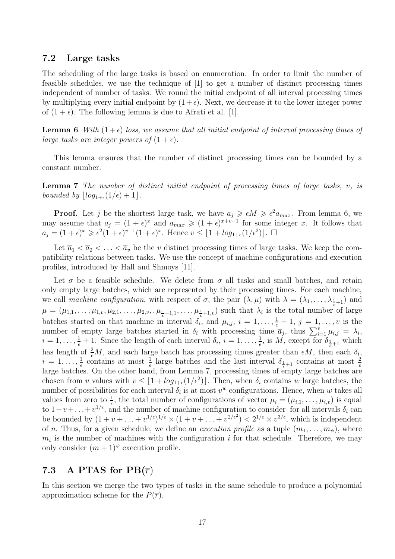#### 7.2 Large tasks

The scheduling of the large tasks is based on enumeration. In order to limit the number of feasible schedules, we use the technique of [1] to get a number of distinct processing times independent of number of tasks. We round the initial endpoint of all interval processing times by multiplying every initial endpoint by  $(1 + \epsilon)$ . Next, we decrease it to the lower integer power of  $(1 + \epsilon)$ . The following lemma is due to Afrati et al. [1].

**Lemma 6** With  $(1+\epsilon)$  loss, we assume that all initial endpoint of interval processing times of large tasks are integer powers of  $(1 + \epsilon)$ .

This lemma ensures that the number of distinct processing times can be bounded by a constant number.

Lemma 7 The number of distinct initial endpoint of processing times of large tasks, v, is bounded by  $\lfloor log_{1+\epsilon}(1/\epsilon) + 1 \rfloor$ .

**Proof.** Let j be the shortest large task, we have  $a_j \geq \epsilon M \geq \epsilon^2 a_{max}$ . From lemma 6, we may assume that  $a_j = (1 + \epsilon)^x$  and  $a_{max} \geq (1 + \epsilon)^{x+v-1}$  for some integer x. It follows that  $a_j = (1+\epsilon)^x \geqslant \epsilon^2 (1+\epsilon)^{v-1} (1+\epsilon)^x$ . Hence  $v \leq \lfloor 1 + \log_{1+\epsilon} (1/\epsilon^2) \rfloor$ .  $\Box$ 

Let  $\overline{a}_1 < \overline{a}_2 < \ldots < \overline{a}_v$  be the v distinct processing times of large tasks. We keep the compatibility relations between tasks. We use the concept of machine configurations and execution profiles, introduced by Hall and Shmoys [11].

Let  $\sigma$  be a feasible schedule. We delete from  $\sigma$  all tasks and small batches, and retain only empty large batches, which are represented by their processing times. For each machine, we call machine configuration, with respect of  $\sigma$ , the pair  $(\lambda, \mu)$  with  $\lambda = (\lambda_1, \dots, \lambda_{\frac{1}{\epsilon}+1})$  and  $\mu = (\mu_{1,1}, \ldots, \mu_{1,v}, \mu_{2,1}, \ldots, \mu_{2,v}, \mu_{\frac{1}{\epsilon}+1,1}, \ldots, \mu_{\frac{1}{\epsilon}+1,v})$  such that  $\lambda_i$  is the total number of large batches started on that machine in interval  $\delta_i$ , and  $\mu_{i,j}$ ,  $i = 1, \ldots, \frac{1}{\epsilon} + 1$ ,  $j = 1, \ldots, v$  is the number of empty large batches started in  $\delta_i$  with processing time  $\overline{a}_j$ , thus  $\sum_{i=1}^v \mu_{i,j} = \lambda_i$ ,  $i = 1, \ldots, \frac{1}{\epsilon} + 1$ . Since the length of each interval  $\delta_i$ ,  $i = 1, \ldots, \frac{1}{\epsilon}$  $\frac{1}{\epsilon}$ , is M, except for  $\delta_{\frac{1}{\epsilon}+1}$  which has length of  $\frac{2}{\epsilon}M$ , and each large batch has processing times greater than  $\epsilon M$ , then each  $\delta_{i}$ ,  $i = 1, \ldots, \frac{1}{\epsilon}$ <sup>1</sup>/<sub> $\epsilon$ </sub> contains at most  $\frac{1}{\epsilon}$  large batches and the last interval  $\delta_{\frac{1}{\epsilon}+1}$  contains at most  $\frac{2}{\epsilon}$ large batches. On the other hand, from Lemma 7, processing times of empty large batches are chosen from v values with  $v \leq \lfloor 1 + \log_{1+\epsilon}(1/\epsilon^2) \rfloor$ . Then, when  $\delta_i$  contains w large batches, the number of possibilities for each interval  $\delta_i$  is at most  $v^w$  configurations. Hence, when w takes all values from zero to  $\frac{1}{\epsilon}$ , the total number of configurations of vector  $\mu_i = (\mu_{i,1}, \ldots, \mu_{i,v})$  is equal to  $1+v+\ldots+v^{1/\epsilon}$ , and the number of machine configuration to consider for all intervals  $\delta_i$  can be bounded by  $(1+v+\ldots+v^{1/\epsilon})^{1/\epsilon} \times (1+v+\ldots+v^{2/\epsilon^2}) < 2^{1/\epsilon} \times v^{3/\epsilon}$ , which is independent of n. Thus, for a given schedule, we define an *execution profile* as a tuple  $(m_1, \ldots, m_{\psi})$ , where  $m_i$  is the number of machines with the configuration i for that schedule. Therefore, we may only consider  $(m+1)^{\psi}$  execution profile.

#### 7.3 A PTAS for  $PB(\overline{r})$

In this section we merge the two types of tasks in the same schedule to produce a polynomial approximation scheme for the  $P(\overline{r})$ .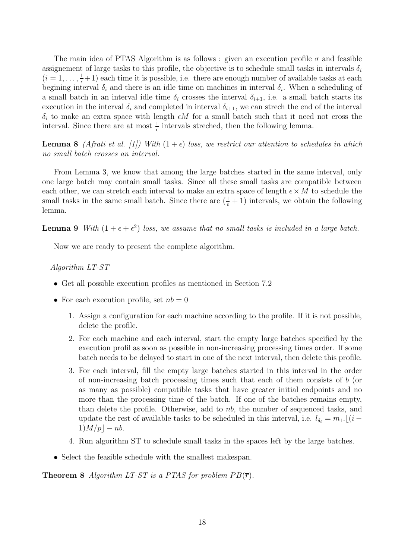The main idea of PTAS Algorithm is as follows : given an execution profile  $\sigma$  and feasible assignement of large tasks to this profile, the objective is to schedule small tasks in intervals  $\delta_i$  $(i = 1, \ldots, \frac{1}{\epsilon} + 1)$  each time it is possible, i.e. there are enough number of available tasks at each begining interval  $\delta_i$  and there is an idle time on machines in interval  $\delta_i$ . When a scheduling of a small batch in an interval idle time  $\delta_i$  crosses the interval  $\delta_{i+1}$ , i.e. a small batch starts its execution in the interval  $\delta_i$  and completed in interval  $\delta_{i+1}$ , we can strech the end of the interval  $\delta_i$  to make an extra space with length  $\epsilon M$  for a small batch such that it need not cross the interval. Since there are at most  $\frac{1}{\epsilon}$  intervals streched, then the following lemma.

**Lemma 8** (Afrati et al. [1]) With  $(1+\epsilon)$  loss, we restrict our attention to schedules in which no small batch crosses an interval.

From Lemma 3, we know that among the large batches started in the same interval, only one large batch may contain small tasks. Since all these small tasks are compatible between each other, we can stretch each interval to make an extra space of length  $\epsilon \times M$  to schedule the small tasks in the same small batch. Since there are  $(\frac{1}{\epsilon} + 1)$  intervals, we obtain the following lemma.

**Lemma 9** With  $(1 + \epsilon + \epsilon^2)$  loss, we assume that no small tasks is included in a large batch.

Now we are ready to present the complete algorithm.

Algorithm LT-ST

- Get all possible execution profiles as mentioned in Section 7.2
- For each execution profile, set  $nb = 0$ 
	- 1. Assign a configuration for each machine according to the profile. If it is not possible, delete the profile.
	- 2. For each machine and each interval, start the empty large batches specified by the execution profil as soon as possible in non-increasing processing times order. If some batch needs to be delayed to start in one of the next interval, then delete this profile.
	- 3. For each interval, fill the empty large batches started in this interval in the order of non-increasing batch processing times such that each of them consists of b (or as many as possible) compatible tasks that have greater initial endpoints and no more than the processing time of the batch. If one of the batches remains empty, than delete the profile. Otherwise, add to *nb*, the number of sequenced tasks, and update the rest of available tasks to be scheduled in this interval, i.e.  $l_{\delta_i} = m_1 \cdot [(i 1)M/p|-nb.$
	- 4. Run algorithm ST to schedule small tasks in the spaces left by the large batches.
- Select the feasible schedule with the smallest makespan.

**Theorem 8** Algorithm LT-ST is a PTAS for problem  $PB(\overline{r})$ .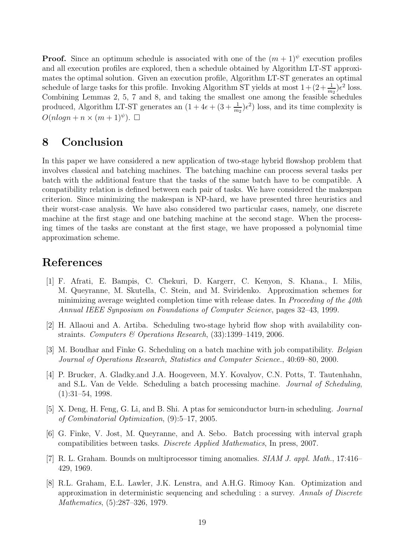**Proof.** Since an optimum schedule is associated with one of the  $(m+1)^{\psi}$  execution profiles and all execution profiles are explored, then a schedule obtained by Algorithm LT-ST approximates the optimal solution. Given an execution profile, Algorithm LT-ST generates an optimal schedule of large tasks for this profile. Invoking Algorithm ST yields at most  $1 + (2 + \frac{1}{m_2})\epsilon^2$  loss. Combining Lemmas 2, 5, 7 and 8, and taking the smallest one among the feasible schedules produced, Algorithm LT-ST generates an  $(1+4\epsilon+(3+\frac{1}{m_2})\epsilon^2)$  loss, and its time complexity is  $O(nlog n + n \times (m+1)^{\psi})$ .

# 8 Conclusion

In this paper we have considered a new application of two-stage hybrid flowshop problem that involves classical and batching machines. The batching machine can process several tasks per batch with the additional feature that the tasks of the same batch have to be compatible. A compatibility relation is defined between each pair of tasks. We have considered the makespan criterion. Since minimizing the makespan is NP-hard, we have presented three heuristics and their worst-case analysis. We have also considered two particular cases, namely, one discrete machine at the first stage and one batching machine at the second stage. When the processing times of the tasks are constant at the first stage, we have propossed a polynomial time approximation scheme.

## References

- [1] F. Afrati, E. Bampis, C. Chekuri, D. Kargerr, C. Kenyon, S. Khana., I. Milis, M. Queyranne, M. Skutella, C. Stein, and M. Sviridenko. Approximation schemes for minimizing average weighted completion time with release dates. In Proceeding of the 40th Annual IEEE Synposium on Foundations of Computer Science, pages 32–43, 1999.
- [2] H. Allaoui and A. Artiba. Scheduling two-stage hybrid flow shop with availability constraints. Computers & Operations Research, (33):1399–1419, 2006.
- [3] M. Boudhar and Finke G. Scheduling on a batch machine with job compatibility. Belgian Journal of Operations Research, Statistics and Computer Science., 40:69–80, 2000.
- [4] P. Brucker, A. Gladky.and J.A. Hoogeveen, M.Y. Kovalyov, C.N. Potts, T. Tautenhahn, and S.L. Van de Velde. Scheduling a batch processing machine. Journal of Scheduling, (1):31–54, 1998.
- [5] X. Deng, H. Feng, G. Li, and B. Shi. A ptas for semiconductor burn-in scheduling. Journal of Combinatorial Optimization, (9):5–17, 2005.
- [6] G. Finke, V. Jost, M. Queyranne, and A. Sebo. Batch processing with interval graph compatibilities between tasks. Discrete Applied Mathematics, In press, 2007.
- [7] R. L. Graham. Bounds on multiprocessor timing anomalies. SIAM J. appl. Math., 17:416– 429, 1969.
- [8] R.L. Graham, E.L. Lawler, J.K. Lenstra, and A.H.G. Rimooy Kan. Optimization and approximation in deterministic sequencing and scheduling : a survey. Annals of Discrete Mathematics, (5):287–326, 1979.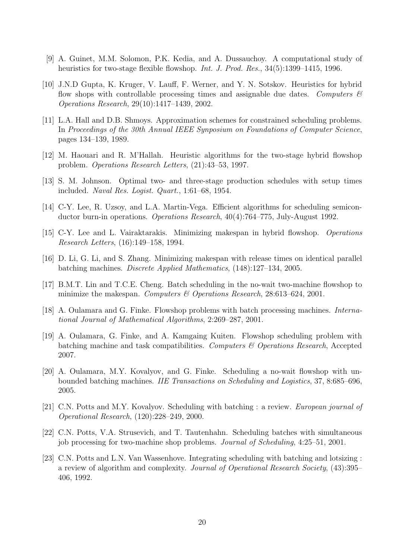- [9] A. Guinet, M.M. Solomon, P.K. Kedia, and A. Dussauchoy. A computational study of heuristics for two-stage flexible flowshop. *Int. J. Prod. Res.*,  $34(5):1399-1415$ , 1996.
- [10] J.N.D Gupta, K. Kruger, V. Lauff, F. Werner, and Y. N. Sotskov. Heuristics for hybrid flow shops with controllable processing times and assignable due dates. Computers  $\mathcal{C}$ Operations Research, 29(10):1417–1439, 2002.
- [11] L.A. Hall and D.B. Shmoys. Approximation schemes for constrained scheduling problems. In Proceedings of the 30th Annual IEEE Synposium on Foundations of Computer Science, pages 134–139, 1989.
- [12] M. Haouari and R. M'Hallah. Heuristic algorithms for the two-stage hybrid flowshop problem. Operations Research Letters, (21):43–53, 1997.
- [13] S. M. Johnson. Optimal two- and three-stage production schedules with setup times included. Naval Res. Logist. Quart., 1:61–68, 1954.
- [14] C-Y. Lee, R. Uzsoy, and L.A. Martin-Vega. Efficient algorithms for scheduling semiconductor burn-in operations. Operations Research, 40(4):764–775, July-August 1992.
- [15] C-Y. Lee and L. Vairaktarakis. Minimizing makespan in hybrid flowshop. Operations Research Letters, (16):149–158, 1994.
- [16] D. Li, G. Li, and S. Zhang. Minimizing makespan with release times on identical parallel batching machines. Discrete Applied Mathematics, (148):127–134, 2005.
- [17] B.M.T. Lin and T.C.E. Cheng. Batch scheduling in the no-wait two-machine flowshop to minimize the makespan. Computers & Operations Research, 28:613-624, 2001.
- [18] A. Oulamara and G. Finke. Flowshop problems with batch processing machines. International Journal of Mathematical Algorithms, 2:269–287, 2001.
- [19] A. Oulamara, G. Finke, and A. Kamgaing Kuiten. Flowshop scheduling problem with batching machine and task compatibilities. Computers & Operations Research, Accepted 2007.
- [20] A. Oulamara, M.Y. Kovalyov, and G. Finke. Scheduling a no-wait flowshop with unbounded batching machines. IIE Transactions on Scheduling and Logistics, 37, 8:685–696, 2005.
- [21] C.N. Potts and M.Y. Kovalyov. Scheduling with batching : a review. European journal of Operational Research, (120):228–249, 2000.
- [22] C.N. Potts, V.A. Strusevich, and T. Tautenhahn. Scheduling batches with simultaneous job processing for two-machine shop problems. Journal of Scheduling, 4:25–51, 2001.
- [23] C.N. Potts and L.N. Van Wassenhove. Integrating scheduling with batching and lotsizing : a review of algorithm and complexity. Journal of Operational Research Society, (43):395– 406, 1992.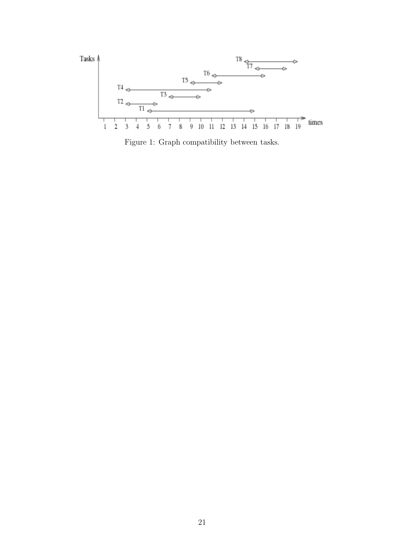

Figure 1: Graph compatibility between tasks.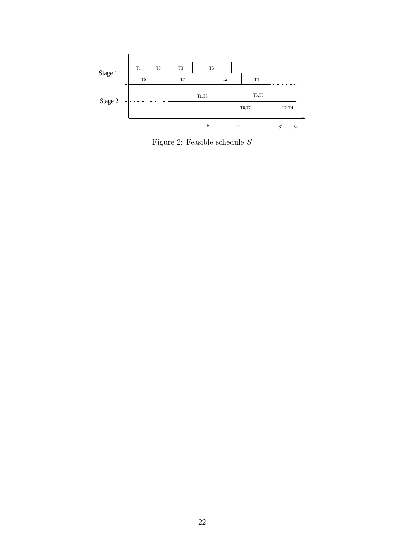

Figure 2: Feasible schedule  ${\cal S}$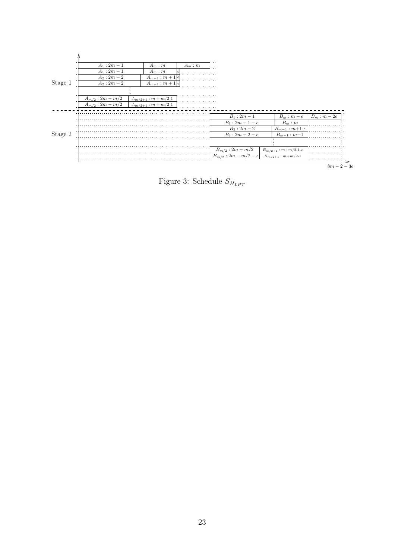

Figure 3: Schedule  $S_{{\cal H}_{LPT}}$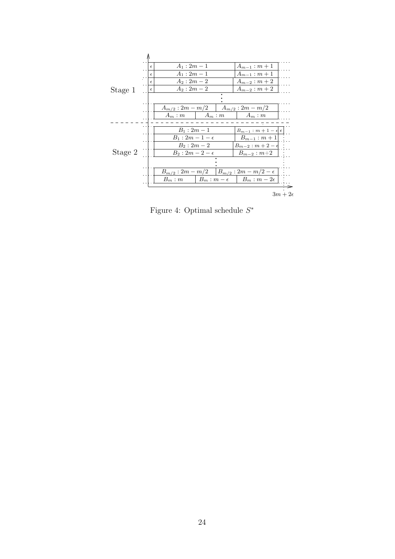

Figure 4: Optimal schedule S ∗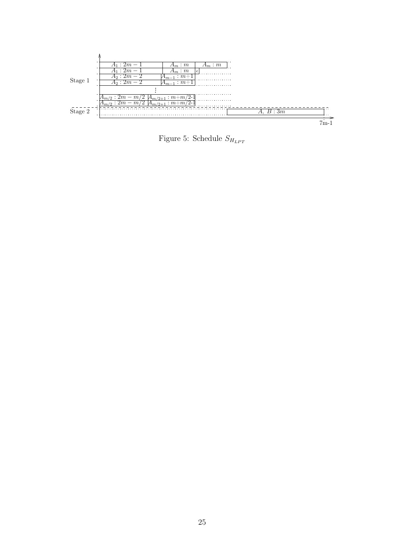

Figure 5: Schedule  $S_{\mathcal{H}_{LPT}}$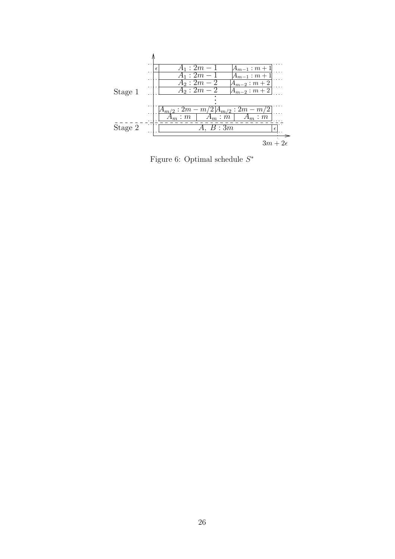

Figure 6: Optimal schedule S ∗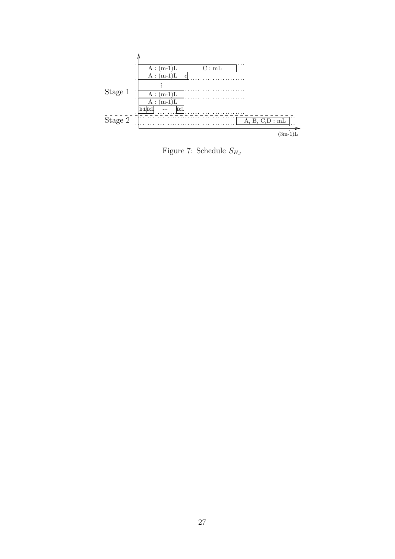

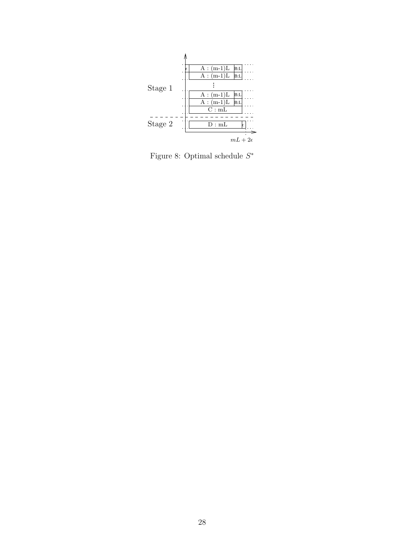

Figure 8: Optimal schedule S ∗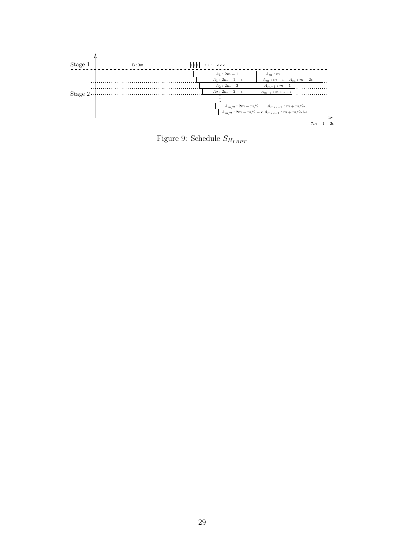

Figure 9: Schedule  $S_{\mathcal{H}_{LBPT}}$